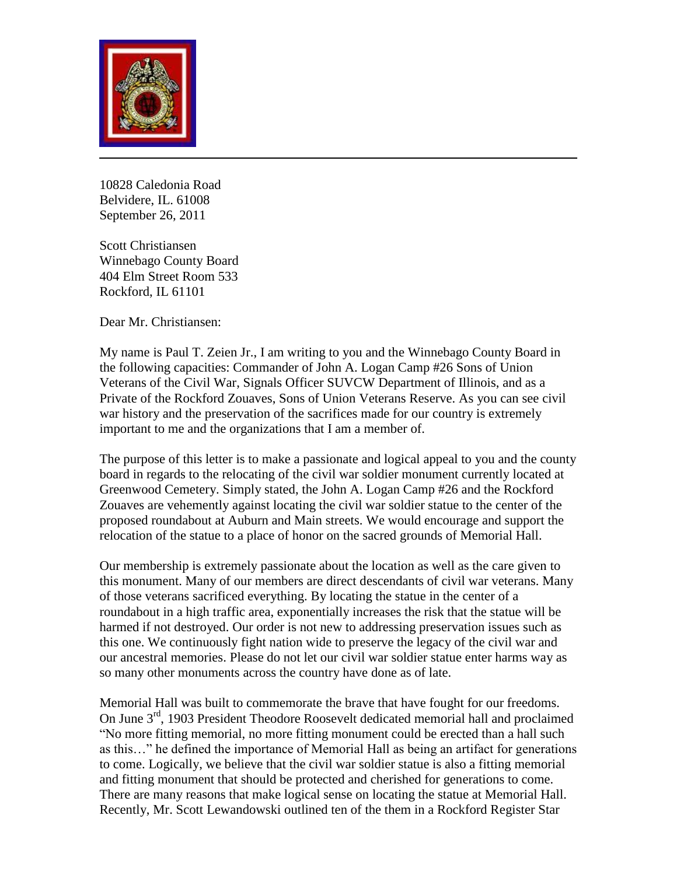

10828 Caledonia Road Belvidere, IL. 61008 September 26, 2011

Scott Christiansen Winnebago County Board 404 Elm Street Room 533 Rockford, IL 61101

Dear Mr. Christiansen:

My name is Paul T. Zeien Jr., I am writing to you and the Winnebago County Board in the following capacities: Commander of John A. Logan Camp #26 Sons of Union Veterans of the Civil War, Signals Officer SUVCW Department of Illinois, and as a Private of the Rockford Zouaves, Sons of Union Veterans Reserve. As you can see civil war history and the preservation of the sacrifices made for our country is extremely important to me and the organizations that I am a member of.

The purpose of this letter is to make a passionate and logical appeal to you and the county board in regards to the relocating of the civil war soldier monument currently located at Greenwood Cemetery. Simply stated, the John A. Logan Camp #26 and the Rockford Zouaves are vehemently against locating the civil war soldier statue to the center of the proposed roundabout at Auburn and Main streets. We would encourage and support the relocation of the statue to a place of honor on the sacred grounds of Memorial Hall.

Our membership is extremely passionate about the location as well as the care given to this monument. Many of our members are direct descendants of civil war veterans. Many of those veterans sacrificed everything. By locating the statue in the center of a roundabout in a high traffic area, exponentially increases the risk that the statue will be harmed if not destroyed. Our order is not new to addressing preservation issues such as this one. We continuously fight nation wide to preserve the legacy of the civil war and our ancestral memories. Please do not let our civil war soldier statue enter harms way as so many other monuments across the country have done as of late.

Memorial Hall was built to commemorate the brave that have fought for our freedoms. On June 3<sup>rd</sup>, 1903 President Theodore Roosevelt dedicated memorial hall and proclaimed "No more fitting memorial, no more fitting monument could be erected than a hall such as this…" he defined the importance of Memorial Hall as being an artifact for generations to come. Logically, we believe that the civil war soldier statue is also a fitting memorial and fitting monument that should be protected and cherished for generations to come. There are many reasons that make logical sense on locating the statue at Memorial Hall. Recently, Mr. Scott Lewandowski outlined ten of the them in a Rockford Register Star